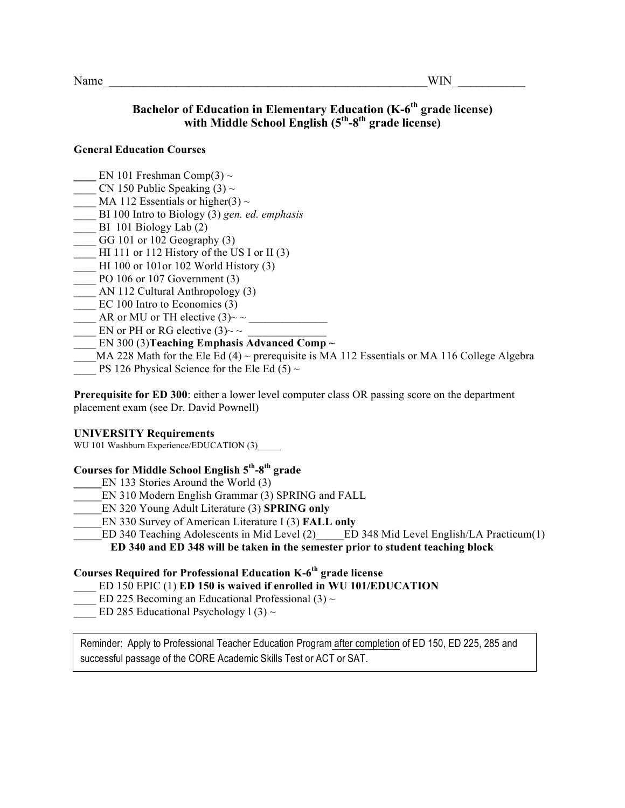## **Bachelor of Education in Elementary Education (K-6<sup>th</sup> grade license)** with Middle School English (5<sup>th</sup>-8<sup>th</sup> grade license)

#### **General Education Courses**

- **EN 101 Freshman Comp(3)**  $\sim$
- CN 150 Public Speaking  $(3) \sim$
- MA 112 Essentials or higher(3)  $\sim$
- \_\_\_\_ BI 100 Intro to Biology (3) *gen. ed. emphasis*
- BI 101 Biology Lab  $(2)$
- GG 101 or 102 Geography  $(3)$
- HI 111 or 112 History of the US I or II  $(3)$
- \_\_\_\_ HI 100 or 101or 102 World History (3)
- $\frac{1}{2}$  PO 106 or 107 Government (3)
- \_\_\_\_ AN 112 Cultural Anthropology (3)
- EC 100 Intro to Economics (3)
- AR or MU or TH elective  $(3)$ ~ ~
- EN or PH or RG elective  $(3)$ ~ ~
- EN 300 (3)**Teaching Emphasis Advanced Comp**  $\sim$
- MA 228 Math for the Ele Ed (4) ~ prerequisite is MA 112 Essentials or MA 116 College Algebra
- PS 126 Physical Science for the Ele Ed (5)  $\sim$

**Prerequisite for ED 300:** either a lower level computer class OR passing score on the department placement exam (see Dr. David Pownell)

#### **UNIVERSITY Requirements**

WU 101 Washburn Experience/EDUCATION (3)

### **Courses for Middle School English 5th-8th grade**

- **\_\_\_\_\_**EN 133 Stories Around the World (3)
- \_\_\_\_\_EN 310 Modern English Grammar (3) SPRING and FALL
- \_\_\_\_\_EN 320 Young Adult Literature (3) **SPRING only**
- \_\_\_\_\_EN 330 Survey of American Literature I (3) **FALL only**
	- ED 340 Teaching Adolescents in Mid Level (2) Level English/LA Practicum(1)

**ED 340 and ED 348 will be taken in the semester prior to student teaching block** 

### **Courses Required for Professional Education K-6th grade license**

- \_\_\_\_ ED 150 EPIC (1) **ED 150 is waived if enrolled in WU 101/EDUCATION**
- ED 225 Becoming an Educational Professional (3)  $\sim$
- ED 285 Educational Psychology 1 (3)  $\sim$

Reminder: Apply to Professional Teacher Education Program after completion of ED 150, ED 225, 285 and successful passage of the CORE Academic Skills Test or ACT or SAT.